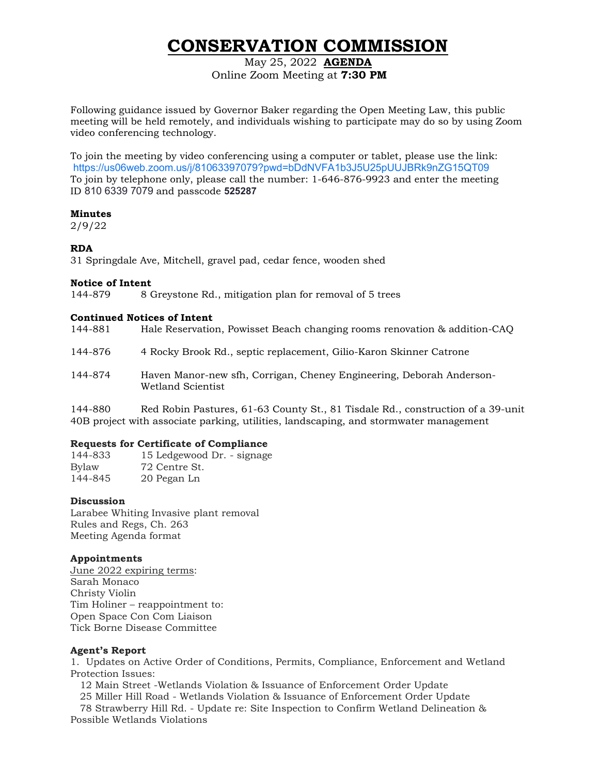# **CONSERVATION COMMISSION**

May 25, 2022 **AGENDA** Online Zoom Meeting at **7:30 PM**

Following guidance issued by Governor Baker regarding the Open Meeting Law, this public meeting will be held remotely, and individuals wishing to participate may do so by using Zoom video conferencing technology.

To join the meeting by video conferencing using a computer or tablet, please use the link: <https://us06web.zoom.us/j/81063397079?pwd=bDdNVFA1b3J5U25pUUJBRk9nZG15QT09> To join by telephone only, please call the number: 1-646-876-9923 and enter the meeting ID 810 6339 7079 and passcode **525287**

#### **Minutes**

2/9/22

## **RDA**

31 Springdale Ave, Mitchell, gravel pad, cedar fence, wooden shed

### **Notice of Intent**

144-879 8 Greystone Rd., mitigation plan for removal of 5 trees

### **Continued Notices of Intent**

| 144-881                  | Hale Reservation, Powisset Beach changing rooms renovation & addition-CAQ                 |
|--------------------------|-------------------------------------------------------------------------------------------|
| 144-876                  | 4 Rocky Brook Rd., septic replacement, Gilio-Karon Skinner Catrone                        |
| 144-874                  | Haven Manor-new sfh, Corrigan, Cheney Engineering, Deborah Anderson-<br>Wetland Scientist |
| $\overline{\phantom{a}}$ |                                                                                           |

144-880 Red Robin Pastures, 61-63 County St., 81 Tisdale Rd., construction of a 39-unit 40B project with associate parking, utilities, landscaping, and stormwater management

## **Requests for Certificate of Compliance**

144-833 15 Ledgewood Dr. - signage Bylaw 72 Centre St. 144-845 20 Pegan Ln

### **Discussion**

Larabee Whiting Invasive plant removal Rules and Regs, Ch. 263 Meeting Agenda format

## **Appointments**

June 2022 expiring terms: Sarah Monaco Christy Violin Tim Holiner – reappointment to: Open Space Con Com Liaison Tick Borne Disease Committee

### **Agent's Report**

1. Updates on Active Order of Conditions, Permits, Compliance, Enforcement and Wetland Protection Issues:

12 Main Street -Wetlands Violation & Issuance of Enforcement Order Update

25 Miller Hill Road - Wetlands Violation & Issuance of Enforcement Order Update

 78 Strawberry Hill Rd. - Update re: Site Inspection to Confirm Wetland Delineation & Possible Wetlands Violations